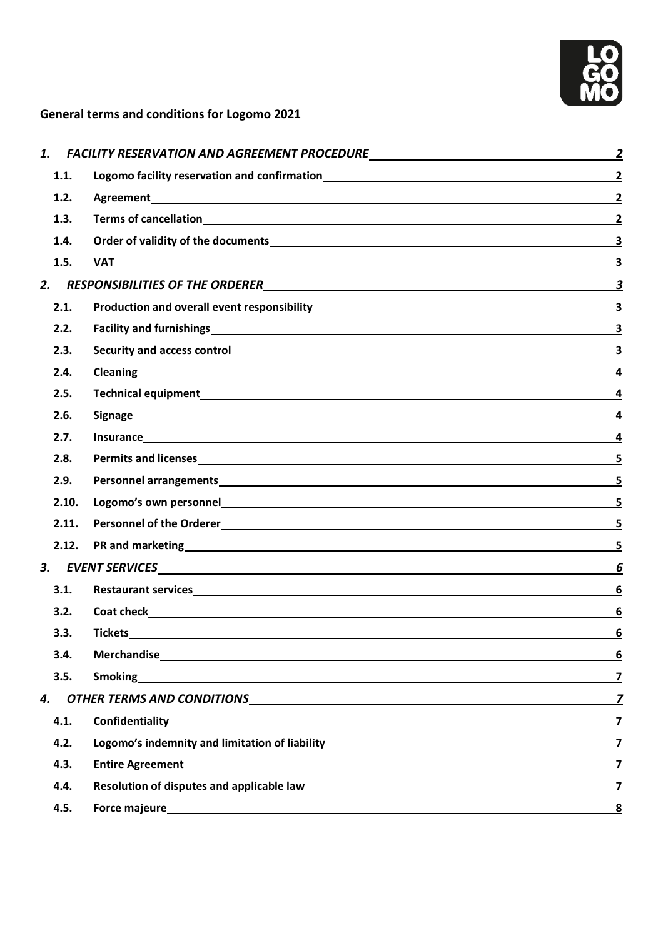

## **General terms and conditions for Logomo 2021**

| 1.    |                                                                                                                                                                                                                                |                         |
|-------|--------------------------------------------------------------------------------------------------------------------------------------------------------------------------------------------------------------------------------|-------------------------|
| 1.1.  | Logomo facility reservation and confirmation<br><u>Logomo facility reservation and confirmation</u>                                                                                                                            |                         |
| 1.2.  |                                                                                                                                                                                                                                | $\overline{2}$          |
| 1.3.  |                                                                                                                                                                                                                                | $\overline{2}$          |
| 1.4.  |                                                                                                                                                                                                                                | 3                       |
| 1.5.  |                                                                                                                                                                                                                                |                         |
| 2.    |                                                                                                                                                                                                                                |                         |
| 2.1.  |                                                                                                                                                                                                                                | 3                       |
| 2.2.  |                                                                                                                                                                                                                                |                         |
| 2.3.  |                                                                                                                                                                                                                                |                         |
| 2.4.  |                                                                                                                                                                                                                                | 4                       |
| 2.5.  |                                                                                                                                                                                                                                |                         |
| 2.6.  |                                                                                                                                                                                                                                |                         |
| 2.7.  |                                                                                                                                                                                                                                | 4                       |
| 2.8.  |                                                                                                                                                                                                                                | 5                       |
| 2.9.  |                                                                                                                                                                                                                                | 5                       |
| 2.10. |                                                                                                                                                                                                                                | 5                       |
| 2.11. |                                                                                                                                                                                                                                |                         |
| 2.12. |                                                                                                                                                                                                                                | 5                       |
|       | EVENT SERVICES <b>And All Andrew Services</b>                                                                                                                                                                                  | <u>6</u>                |
| 3.1.  |                                                                                                                                                                                                                                | 6                       |
| 3.2.  |                                                                                                                                                                                                                                | 6                       |
| 3.3.  | <b>Tickets</b>                                                                                                                                                                                                                 | <u>6</u>                |
| 3.4.  | Merchandise experience and the contract of the contract of the contract of the contract of the contract of the                                                                                                                 | <u>6</u>                |
| 3.5.  | Smoking 7                                                                                                                                                                                                                      |                         |
| 4.    |                                                                                                                                                                                                                                |                         |
| 4.1.  | Confidentiality 7                                                                                                                                                                                                              |                         |
| 4.2.  |                                                                                                                                                                                                                                |                         |
| 4.3.  | Entire Agreement 2012 12:00 12:00 12:00 12:00 12:00 12:00 12:00 12:00 12:00 12:00 12:00 12:00 12:00 12:00 12:00 12:00 12:00 12:00 12:00 12:00 12:00 12:00 12:00 12:00 12:00 12:00 12:00 12:00 12:00 12:00 12:00 12:00 12:00 12 |                         |
| 4.4.  | Resolution of disputes and applicable law<br>1                                                                                                                                                                                 |                         |
| 4.5.  |                                                                                                                                                                                                                                | $\overline{\mathbf{8}}$ |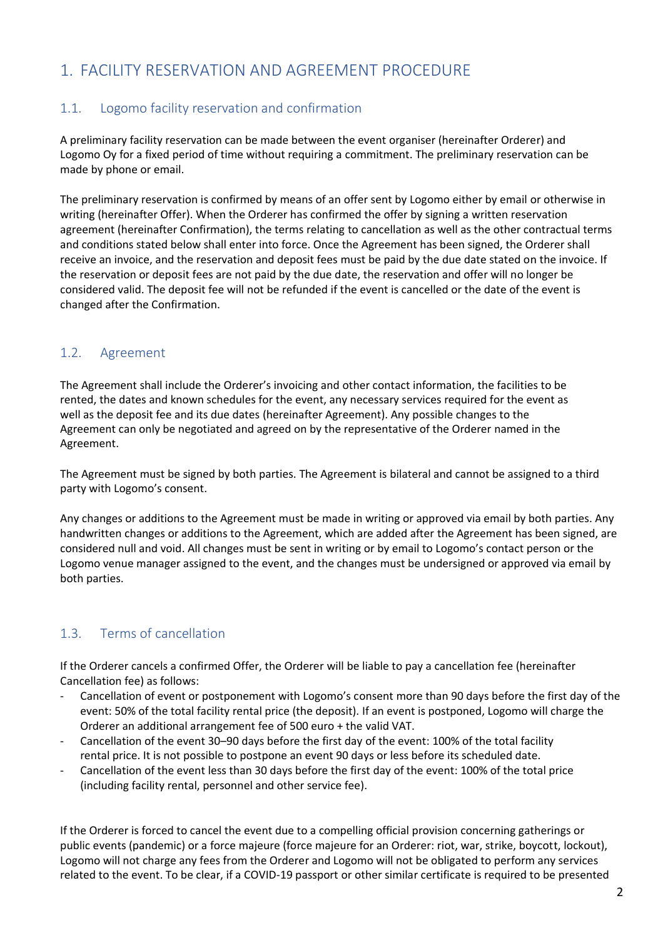# <span id="page-1-0"></span>1. FACILITY RESERVATION AND AGREEMENT PROCEDURE

### <span id="page-1-1"></span>1.1. Logomo facility reservation and confirmation

A preliminary facility reservation can be made between the event organiser (hereinafter Orderer) and Logomo Oy for a fixed period of time without requiring a commitment. The preliminary reservation can be made by phone or email.

The preliminary reservation is confirmed by means of an offer sent by Logomo either by email or otherwise in writing (hereinafter Offer). When the Orderer has confirmed the offer by signing a written reservation agreement (hereinafter Confirmation), the terms relating to cancellation as well as the other contractual terms and conditions stated below shall enter into force. Once the Agreement has been signed, the Orderer shall receive an invoice, and the reservation and deposit fees must be paid by the due date stated on the invoice. If the reservation or deposit fees are not paid by the due date, the reservation and offer will no longer be considered valid. The deposit fee will not be refunded if the event is cancelled or the date of the event is changed after the Confirmation.

### <span id="page-1-2"></span>1.2. Agreement

The Agreement shall include the Orderer's invoicing and other contact information, the facilities to be rented, the dates and known schedules for the event, any necessary services required for the event as well as the deposit fee and its due dates (hereinafter Agreement). Any possible changes to the Agreement can only be negotiated and agreed on by the representative of the Orderer named in the Agreement.

The Agreement must be signed by both parties. The Agreement is bilateral and cannot be assigned to a third party with Logomo's consent.

Any changes or additions to the Agreement must be made in writing or approved via email by both parties. Any handwritten changes or additions to the Agreement, which are added after the Agreement has been signed, are considered null and void. All changes must be sent in writing or by email to Logomo's contact person or the Logomo venue manager assigned to the event, and the changes must be undersigned or approved via email by both parties.

## <span id="page-1-3"></span>1.3. Terms of cancellation

If the Orderer cancels a confirmed Offer, the Orderer will be liable to pay a cancellation fee (hereinafter Cancellation fee) as follows:

- Cancellation of event or postponement with Logomo's consent more than 90 days before the first day of the event: 50% of the total facility rental price (the deposit). If an event is postponed, Logomo will charge the Orderer an additional arrangement fee of 500 euro + the valid VAT.
- Cancellation of the event 30–90 days before the first day of the event: 100% of the total facility rental price. It is not possible to postpone an event 90 days or less before its scheduled date.
- Cancellation of the event less than 30 days before the first day of the event: 100% of the total price (including facility rental, personnel and other service fee).

If the Orderer is forced to cancel the event due to a compelling official provision concerning gatherings or public events (pandemic) or a force majeure (force majeure for an Orderer: riot, war, strike, boycott, lockout), Logomo will not charge any fees from the Orderer and Logomo will not be obligated to perform any services related to the event. To be clear, if a COVID-19 passport or other similar certificate is required to be presented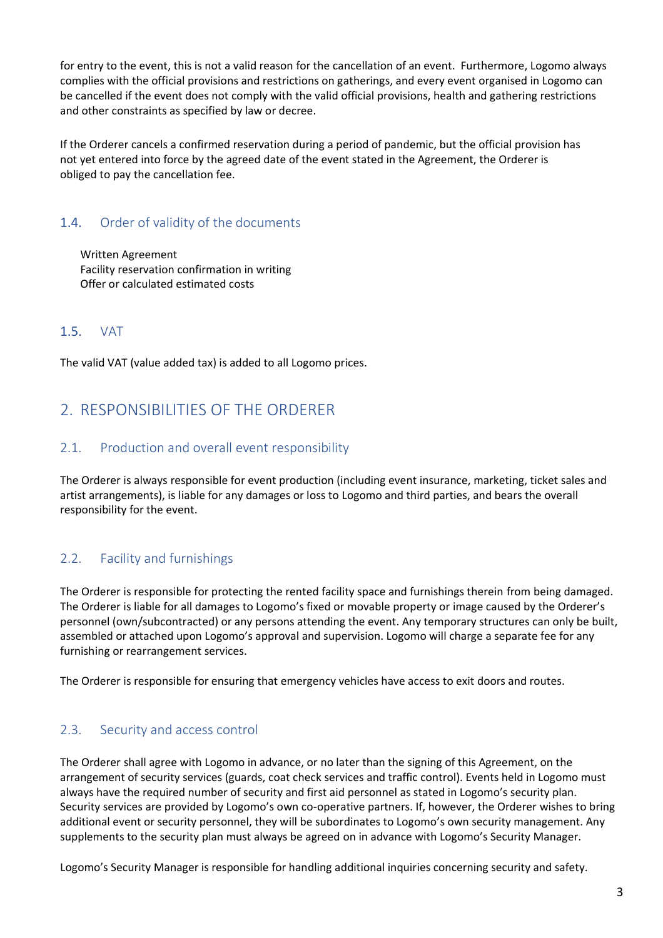for entry to the event, this is not a valid reason for the cancellation of an event. Furthermore, Logomo always complies with the official provisions and restrictions on gatherings, and every event organised in Logomo can be cancelled if the event does not comply with the valid official provisions, health and gathering restrictions and other constraints as specified by law or decree.

If the Orderer cancels a confirmed reservation during a period of pandemic, but the official provision has not yet entered into force by the agreed date of the event stated in the Agreement, the Orderer is obliged to pay the cancellation fee.

### <span id="page-2-0"></span>1.4. Order of validity of the documents

Written Agreement Facility reservation confirmation in writing Offer or calculated estimated costs

### <span id="page-2-1"></span>1.5. VAT

The valid VAT (value added tax) is added to all Logomo prices.

# <span id="page-2-2"></span>2. RESPONSIBILITIES OF THE ORDERER

#### <span id="page-2-3"></span>2.1. Production and overall event responsibility

The Orderer is always responsible for event production (including event insurance, marketing, ticket sales and artist arrangements), is liable for any damages or loss to Logomo and third parties, and bears the overall responsibility for the event.

## <span id="page-2-4"></span>2.2. Facility and furnishings

The Orderer is responsible for protecting the rented facility space and furnishings therein from being damaged. The Orderer is liable for all damages to Logomo's fixed or movable property or image caused by the Orderer's personnel (own/subcontracted) or any persons attending the event. Any temporary structures can only be built, assembled or attached upon Logomo's approval and supervision. Logomo will charge a separate fee for any furnishing or rearrangement services.

The Orderer is responsible for ensuring that emergency vehicles have access to exit doors and routes.

### <span id="page-2-5"></span>2.3. Security and access control

The Orderer shall agree with Logomo in advance, or no later than the signing of this Agreement, on the arrangement of security services (guards, coat check services and traffic control). Events held in Logomo must always have the required number of security and first aid personnel as stated in Logomo's security plan. Security services are provided by Logomo's own co-operative partners. If, however, the Orderer wishes to bring additional event or security personnel, they will be subordinates to Logomo's own security management. Any supplements to the security plan must always be agreed on in advance with Logomo's Security Manager.

Logomo's Security Manager is responsible for handling additional inquiries concerning security and safety.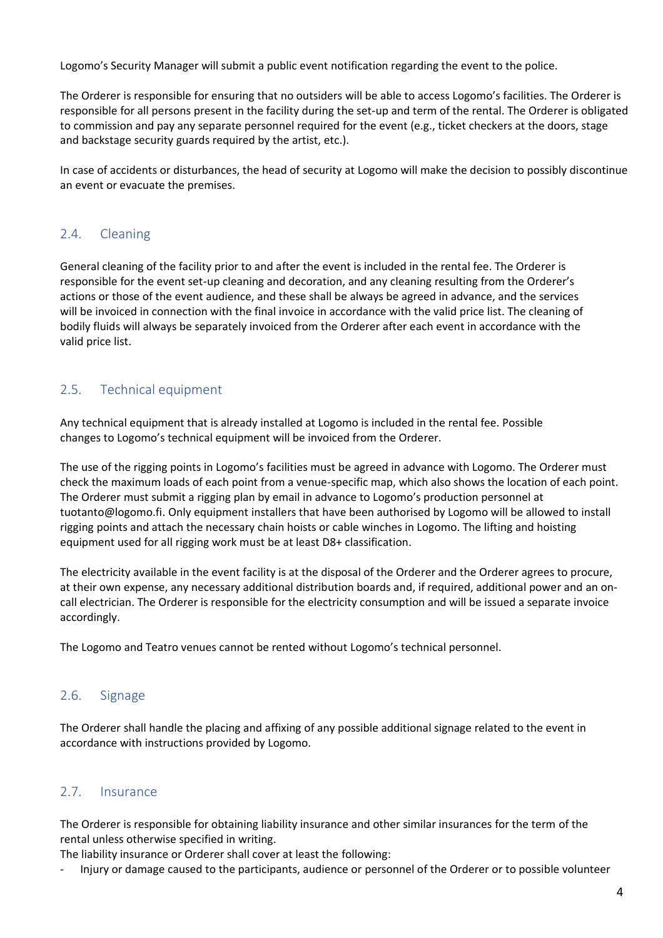Logomo's Security Manager will submit a public event notification regarding the event to the police.

The Orderer is responsible for ensuring that no outsiders will be able to access Logomo's facilities. The Orderer is responsible for all persons present in the facility during the set-up and term of the rental. The Orderer is obligated to commission and pay any separate personnel required for the event (e.g., ticket checkers at the doors, stage and backstage security guards required by the artist, etc.).

In case of accidents or disturbances, the head of security at Logomo will make the decision to possibly discontinue an event or evacuate the premises.

#### <span id="page-3-0"></span>2.4. Cleaning

General cleaning of the facility prior to and after the event is included in the rental fee. The Orderer is responsible for the event set-up cleaning and decoration, and any cleaning resulting from the Orderer's actions or those of the event audience, and these shall be always be agreed in advance, and the services will be invoiced in connection with the final invoice in accordance with the valid price list. The cleaning of bodily fluids will always be separately invoiced from the Orderer after each event in accordance with the valid price list.

## <span id="page-3-1"></span>2.5. Technical equipment

Any technical equipment that is already installed at Logomo is included in the rental fee. Possible changes to Logomo's technical equipment will be invoiced from the Orderer.

The use of the rigging points in Logomo's facilities must be agreed in advance with Logomo. The Orderer must check the maximum loads of each point from a venue-specific map, which also shows the locatio[n of each point.](mailto:tuotanto@logomo.fi)  The Orderer must submit a rigging plan by email in advance to Logomo's production personnel at [tuotanto@logomo.fi.](mailto:tuotanto@logomo.fi) Only equipment installers that have been authorised by Logomo will be allowed to install rigging points and attach the necessary chain hoists or cable winches in Logomo. The lifting and hoisting equipment used for all rigging work must be at least D8+ classification.

The electricity available in the event facility is at the disposal of the Orderer and the Orderer agrees to procure, at their own expense, any necessary additional distribution boards and, if required, additional power and an oncall electrician. The Orderer is responsible for the electricity consumption and will be issued a separate invoice accordingly.

The Logomo and Teatro venues cannot be rented without Logomo's technical personnel.

#### <span id="page-3-2"></span>2.6. Signage

The Orderer shall handle the placing and affixing of any possible additional signage related to the event in accordance with instructions provided by Logomo.

#### <span id="page-3-3"></span>2.7. Insurance

The Orderer is responsible for obtaining liability insurance and other similar insurances for the term of the rental unless otherwise specified in writing.

The liability insurance or Orderer shall cover at least the following:

- Injury or damage caused to the participants, audience or personnel of the Orderer or to possible volunteer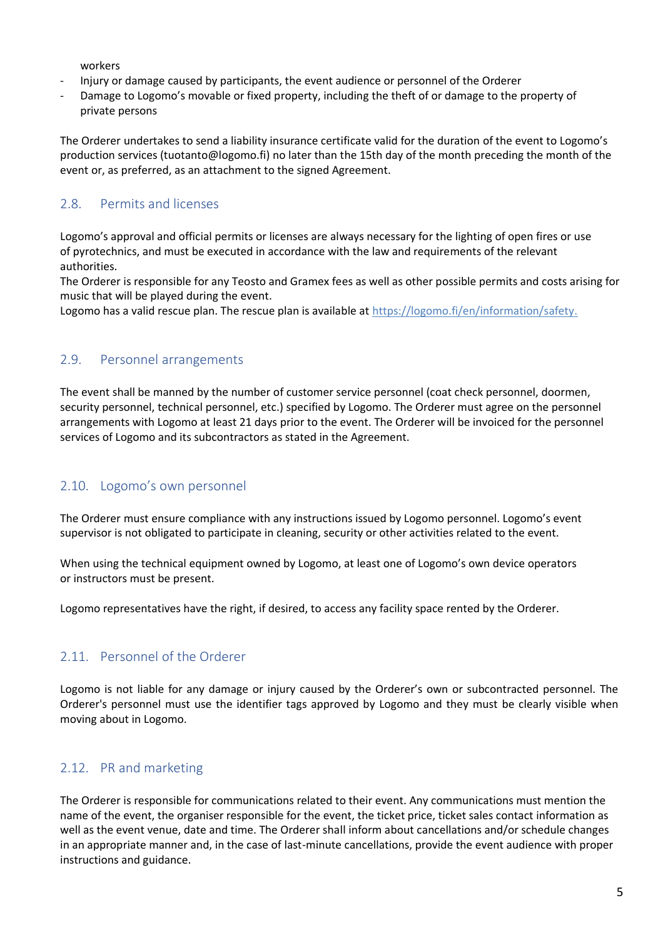workers

- Injury or damage caused by participants, the event audience or personnel of the Orderer
- Damage to Logomo's movable or fixed property, including the theft of or damage to the property of private persons

The Orderer undertakes to send a liability insurance certificate valid for the duration of the event to Logomo's production services [\(tuotanto@logomo.fi\)](mailto:tuotanto@logomo.fi) no later than the 15th day of the month preceding the month of the event or, as preferred, as an attachment to the signed Agreement.

#### <span id="page-4-0"></span>2.8 Permits and licenses

Logomo's approval and official permits or licenses are always necessary for the lighting of open fires or use of pyrotechnics, and must be executed in accordance with the law and requirements of the relevant authorities.

The Orderer is responsible for any Teosto and Gramex fees as well as other possible permits and costs arising for music that will be played during the event.

Logomo has a valid rescue plan. The rescue plan is available at [https://logomo.fi/en/information/safety.](https://logomo.fi/en/information/safety)

#### <span id="page-4-1"></span>2.9. Personnel arrangements

The event shall be manned by the number of customer service personnel (coat check personnel, doormen, security personnel, technical personnel, etc.) specified by Logomo. The Orderer must agree on the personnel arrangements with Logomo at least 21 days prior to the event. The Orderer will be invoiced for the personnel services of Logomo and its subcontractors as stated in the Agreement.

#### <span id="page-4-2"></span>2.10. Logomo's own personnel

The Orderer must ensure compliance with any instructions issued by Logomo personnel. Logomo's event supervisor is not obligated to participate in cleaning, security or other activities related to the event.

When using the technical equipment owned by Logomo, at least one of Logomo's own device operators or instructors must be present.

Logomo representatives have the right, if desired, to access any facility space rented by the Orderer.

#### <span id="page-4-3"></span>2.11 Personnel of the Orderer

Logomo is not liable for any damage or injury caused by the Orderer's own or subcontracted personnel. The Orderer's personnel must use the identifier tags approved by Logomo and they must be clearly visible when moving about in Logomo.

#### <span id="page-4-4"></span>2.12. PR and marketing

The Orderer is responsible for communications related to their event. Any communications must mention the name of the event, the organiser responsible for the event, the ticket price, ticket sales contact information as well as the event venue, date and time. The Orderer shall inform about cancellations and/or schedule changes in an appropriate manner and, in the case of last-minute cancellations, provide the event audience with proper instructions and guidance.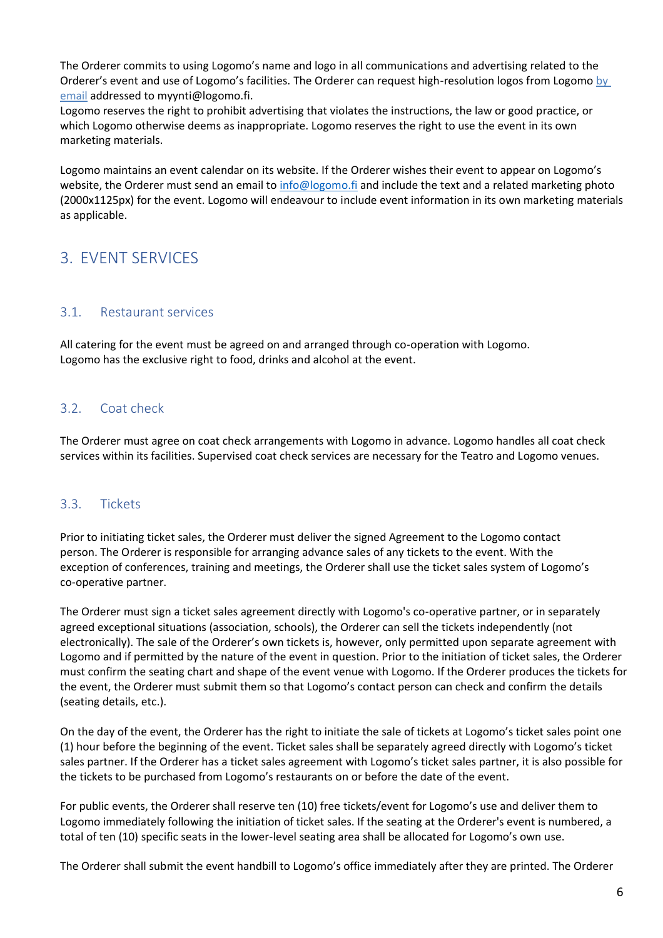The Orderer commits to using Logomo's name and logo in all communications and advertising related to the Orderer's event and use of Logomo's facilities. The Orderer can request high-resolution logos from Logomo by email addressed to [myynti@logomo.fi.](mailto:myynti@logomo.fi)

Logomo reserves the right to prohibit advertising that violates the instructions, the law or good practice, or which Logomo otherwise deems as inappropriate. Logomo reserves the right to use the event in its own marketing materials.

Logomo maintains an event calendar on its website. If the Orderer wishes their event to appear on Logomo's website, the Orderer must send an email to [info@logomo.fi](mailto:info@logomo.fi) and include the text and a related marketing photo (2000x1125px) for the event. Logomo will endeavour to include event information in its own marketing materials as applicable.

# <span id="page-5-0"></span>3. EVENT SERVICES

#### <span id="page-5-1"></span>3.1. Restaurant services

All catering for the event must be agreed on and arranged through co-operation with Logomo. Logomo has the exclusive right to food, drinks and alcohol at the event.

#### <span id="page-5-2"></span>3.2. Coat check

The Orderer must agree on coat check arrangements with Logomo in advance. Logomo handles all coat check services within its facilities. Supervised coat check services are necessary for the Teatro and Logomo venues.

#### <span id="page-5-3"></span>3.3. Tickets

Prior to initiating ticket sales, the Orderer must deliver the signed Agreement to the Logomo contact person. The Orderer is responsible for arranging advance sales of any tickets to the event. With the exception of conferences, training and meetings, the Orderer shall use the ticket sales system of Logomo's co-operative partner.

The Orderer must sign a ticket sales agreement directly with Logomo's co-operative partner, or in separately agreed exceptional situations (association, schools), the Orderer can sell the tickets independently (not electronically). The sale of the Orderer's own tickets is, however, only permitted upon separate agreement with Logomo and if permitted by the nature of the event in question. Prior to the initiation of ticket sales, the Orderer must confirm the seating chart and shape of the event venue with Logomo. If the Orderer produces the tickets for the event, the Orderer must submit them so that Logomo's contact person can check and confirm the details (seating details, etc.).

On the day of the event, the Orderer has the right to initiate the sale of tickets at Logomo's ticket sales point one (1) hour before the beginning of the event. Ticket sales shall be separately agreed directly with Logomo's ticket sales partner. If the Orderer has a ticket sales agreement with Logomo's ticket sales partner, it is also possible for the tickets to be purchased from Logomo's restaurants on or before the date of the event.

For public events, the Orderer shall reserve ten (10) free tickets/event for Logomo's use and deliver them to Logomo immediately following the initiation of ticket sales. If the seating at the Orderer's event is numbered, a total of ten (10) specific seats in the lower-level seating area shall be allocated for Logomo's own use.

The Orderer shall submit the event handbill to Logomo's office immediately after they are printed. The Orderer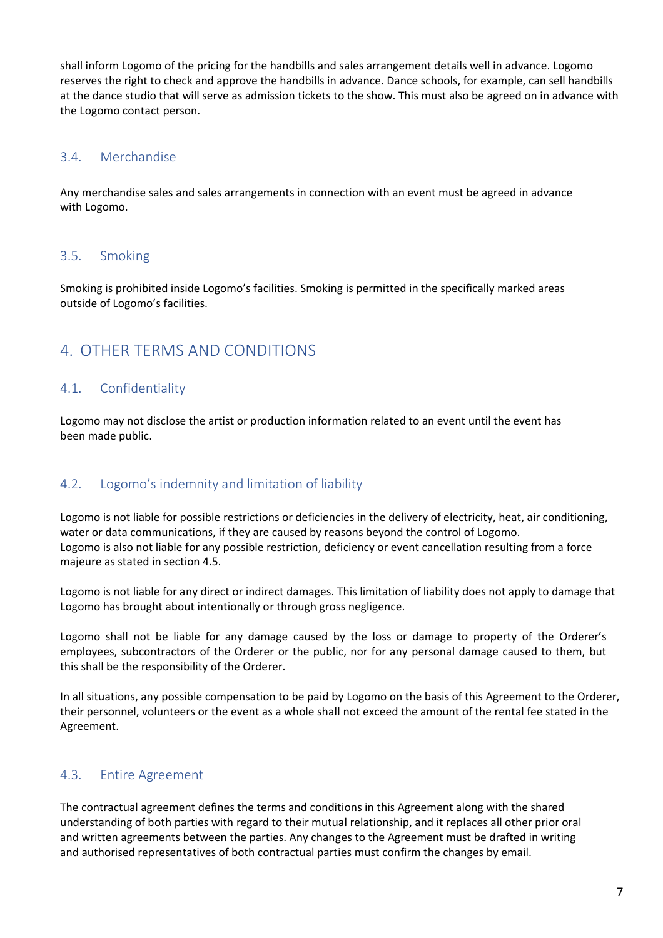shall inform Logomo of the pricing for the handbills and sales arrangement details well in advance. Logomo reserves the right to check and approve the handbills in advance. Dance schools, for example, can sell handbills at the dance studio that will serve as admission tickets to the show. This must also be agreed on in advance with the Logomo contact person.

#### <span id="page-6-0"></span>3.4. Merchandise

Any merchandise sales and sales arrangements in connection with an event must be agreed in advance with Logomo.

#### <span id="page-6-1"></span>3.5. Smoking

Smoking is prohibited inside Logomo's facilities. Smoking is permitted in the specifically marked areas outside of Logomo's facilities.

## <span id="page-6-2"></span>4. OTHER TERMS AND CONDITIONS

#### <span id="page-6-3"></span>4.1. Confidentiality

Logomo may not disclose the artist or production information related to an event until the event has been made public.

#### <span id="page-6-4"></span>4.2. Logomo's indemnity and limitation of liability

Logomo is not liable for possible restrictions or deficiencies in the delivery of electricity, heat, air conditioning, water or data communications, if they are caused by reasons beyond the control of Logomo. Logomo is also not liable for any possible restriction, deficiency or event cancellation resulting from a force majeure as stated in section 4.5.

Logomo is not liable for any direct or indirect damages. This limitation of liability does not apply to damage that Logomo has brought about intentionally or through gross negligence.

Logomo shall not be liable for any damage caused by the loss or damage to property of the Orderer's employees, subcontractors of the Orderer or the public, nor for any personal damage caused to them, but this shall be the responsibility of the Orderer.

In all situations, any possible compensation to be paid by Logomo on the basis of this Agreement to the Orderer, their personnel, volunteers or the event as a whole shall not exceed the amount of the rental fee stated in the Agreement.

#### <span id="page-6-5"></span>4.3. Entire Agreement

The contractual agreement defines the terms and conditions in this Agreement along with the shared understanding of both parties with regard to their mutual relationship, and it replaces all other prior oral and written agreements between the parties. Any changes to the Agreement must be drafted in writing and authorised representatives of both contractual parties must confirm the changes by email.